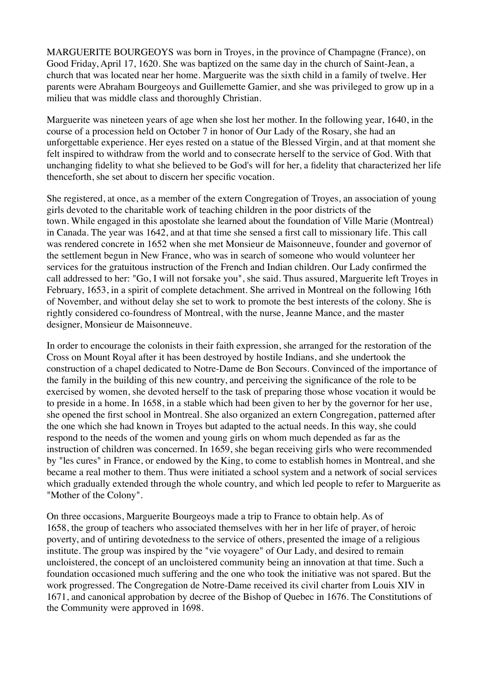MARGUERITE BOURGEOYS was born in Troyes, in the province of Champagne (France), on Good Friday, April 17, 1620. She was baptized on the same day in the church of Saint-Jean, a church that was located near her home. Marguerite was the sixth child in a family of twelve. Her parents were Abraham Bourgeoys and Guillemette Gamier, and she was privileged to grow up in a milieu that was middle class and thoroughly Christian.

Marguerite was nineteen years of age when she lost her mother. In the following year, 1640, in the course of a procession held on October 7 in honor of Our Lady of the Rosary, she had an unforgettable experience. Her eyes rested on a statue of the Blessed Virgin, and at that moment she felt inspired to withdraw from the world and to consecrate herself to the service of God. With that unchanging fidelity to what she believed to be God's will for her, a fidelity that characterized her life thenceforth, she set about to discern her specific vocation.

She registered, at once, as a member of the extern Congregation of Troyes, an association of young girls devoted to the charitable work of teaching children in the poor districts of the town. While engaged in this apostolate she learned about the foundation of Ville Marie (Montreal) in Canada. The year was 1642, and at that time she sensed a first call to missionary life. This call was rendered concrete in 1652 when she met Monsieur de Maisonneuve, founder and governor of the settlement begun in New France, who was in search of someone who would volunteer her services for the gratuitous instruction of the French and Indian children. Our Lady confirmed the call addressed to her: "Go, I will not forsake you", she said. Thus assured, Marguerite left Troyes in February, 1653, in a spirit of complete detachment. She arrived in Montreal on the following 16th of November, and without delay she set to work to promote the best interests of the colony. She is rightly considered co-foundress of Montreal, with the nurse, Jeanne Mance, and the master designer, Monsieur de Maisonneuve.

In order to encourage the colonists in their faith expression, she arranged for the restoration of the Cross on Mount Royal after it has been destroyed by hostile Indians, and she undertook the construction of a chapel dedicated to Notre-Dame de Bon Secours. Convinced of the importance of the family in the building of this new country, and perceiving the significance of the role to be exercised by women, she devoted herself to the task of preparing those whose vocation it would be to preside in a home. In 1658, in a stable which had been given to her by the governor for her use, she opened the first school in Montreal. She also organized an extern Congregation, patterned after the one which she had known in Troyes but adapted to the actual needs. In this way, she could respond to the needs of the women and young girls on whom much depended as far as the instruction of children was concerned. In 1659, she began receiving girls who were recommended by "les cures" in France, or endowed by the King, to come to establish homes in Montreal, and she became a real mother to them. Thus were initiated a school system and a network of social services which gradually extended through the whole country, and which led people to refer to Marguerite as "Mother of the Colony".

On three occasions, Marguerite Bourgeoys made a trip to France to obtain help. As of 1658, the group of teachers who associated themselves with her in her life of prayer, of heroic poverty, and of untiring devotedness to the service of others, presented the image of a religious institute. The group was inspired by the "vie voyagere" of Our Lady, and desired to remain uncloistered, the concept of an uncloistered community being an innovation at that time. Such a foundation occasioned much suffering and the one who took the initiative was not spared. But the work progressed. The Congregation de Notre-Dame received its civil charter from Louis XIV in 1671, and canonical approbation by decree of the Bishop of Quebec in 1676. The Constitutions of the Community were approved in 1698.